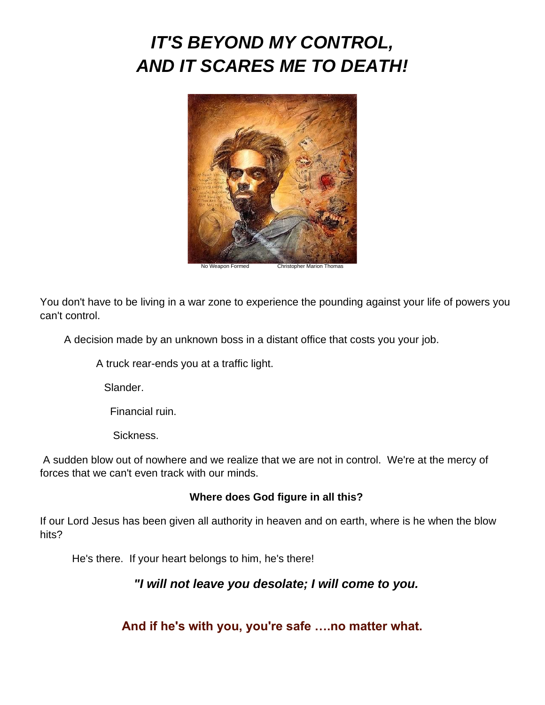## *IT'S BEYOND MY CONTROL, AND IT SCARES ME TO DEATH!*



You don't have to be living in a war zone to experience the pounding against your life of powers you can't control.

A decision made by an unknown boss in a distant office that costs you your job.

A truck rear-ends you at a traffic light.

Slander.

Financial ruin.

Sickness.

A sudden blow out of nowhere and we realize that we are not in control. We're at the mercy of forces that we can't even track with our minds.

## **Where does God figure in all this?**

If our Lord Jesus has been given all authority in heaven and on earth, where is he when the blow hits?

He's there. If your heart belongs to him, he's there!

*"I will not leave you desolate; I will come to you.*

**And if he's with you, you're safe ….no matter what.**